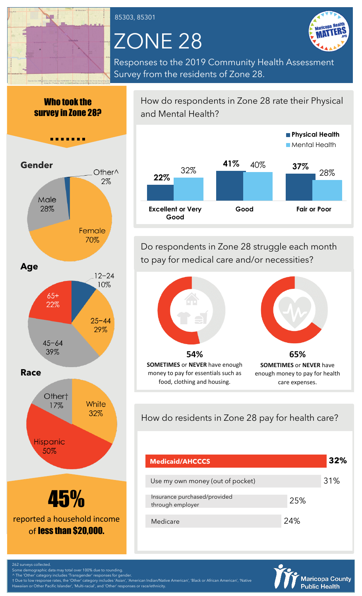

85303, 85301

# ZONE 28



Responses to the 2019 Community Health Assessment Survey from the residents of Zone 28.

Who took the survey in Zone 28?

**B 8 8** 



How do respondents in Zone 28 rate their Physical and Mental Health?



Do respondents in Zone 28 struggle each month to pay for medical care and/or necessities?



enough money to pay for health care expenses.

How do residents in Zone 28 pay for health care?

money to pay for essentials such as food, clothing and housing.

| <b>Medicaid/AHCCCS</b>                           |     | 32% |
|--------------------------------------------------|-----|-----|
| Use my own money (out of pocket)                 |     | 31% |
| Insurance purchased/provided<br>through employer | 25% |     |
| Medicare                                         | 24% |     |



Some demographic data may total over 100% due to rounding.

^ The 'Other' category includes 'Transgender' responses for gender. † Due to low response rates, the 'Other' category includes 'Asian', 'American Indian/Native American', 'Black or African American', 'Native n or Other Pacific Islander', 'Multi-racial', and 'Other' responses or race/ethnicity.